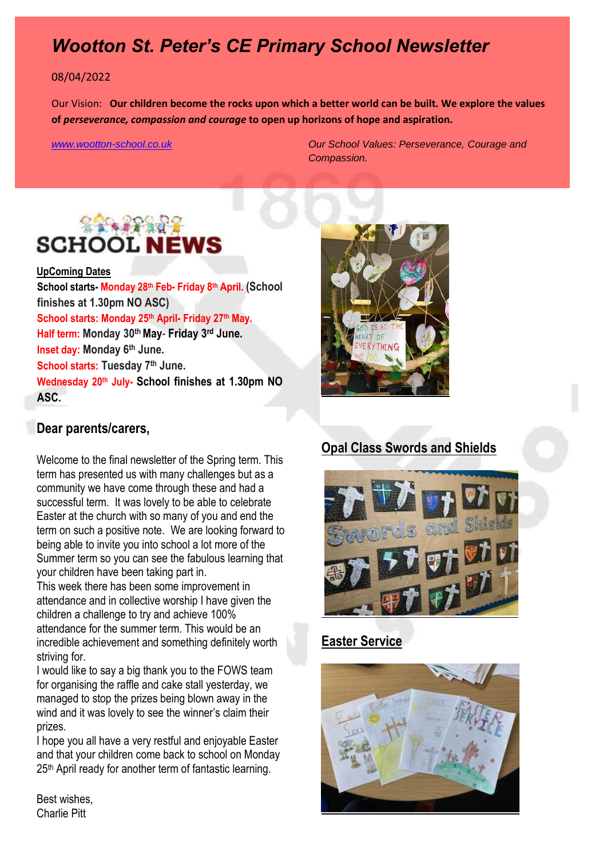# *Wootton St. Peter's CE Primary School Newsletter*

#### 08/04/2022

Our Vision: **Our children become the rocks upon which a better world can be built. We explore the values of** *perseverance, compassion and courage* **to open up horizons of hope and aspiration.** 

*[www.wootton-school.co.uk](http://www.wootton-school.co.uk/) Our School Values: Perseverance, Courage and Compassion.*

# **SCHOOL N**

**UpComing Dates School starts- Monday 28th Feb- Friday 8th April. (School finishes at 1.30pm NO ASC) School starts: Monday 25th April- Friday 27th May. Half term: Monday 30th May**- **Friday 3 rd June. Inset day: Monday 6th June. School starts: Tuesday 7th June. Wednesday 20th July- School finishes at 1.30pm NO ASC.**

#### **Dear parents/carers,**

Welcome to the final newsletter of the Spring term. This term has presented us with many challenges but as a community we have come through these and had a successful term. It was lovely to be able to celebrate Easter at the church with so many of you and end the term on such a positive note. We are looking forward to being able to invite you into school a lot more of the Summer term so you can see the fabulous learning that your children have been taking part in.

This week there has been some improvement in attendance and in collective worship I have given the children a challenge to try and achieve 100% attendance for the summer term. This would be an incredible achievement and something definitely worth striving for.

I would like to say a big thank you to the FOWS team for organising the raffle and cake stall yesterday, we managed to stop the prizes being blown away in the wind and it was lovely to see the winner's claim their prizes.

I hope you all have a very restful and enjoyable Easter and that your children come back to school on Monday 25<sup>th</sup> April ready for another term of fantastic learning.

Best wishes, Charlie Pitt



#### **Opal Class Swords and Shields**



#### **Easter Service**

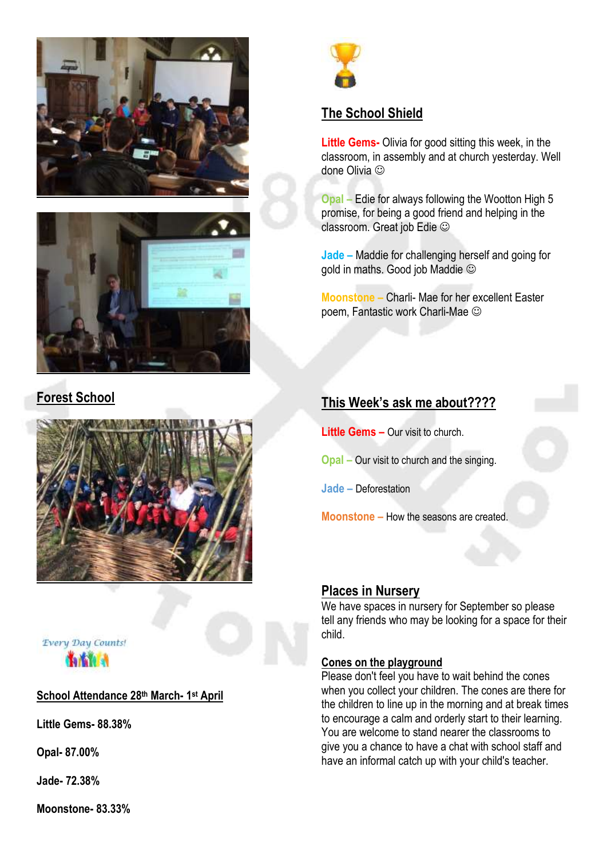



## **Forest School**





#### **School Attendance 28th March- 1 st April**

**Little Gems- 88.38%**

**Opal- 87.00%**

**Jade- 72.38%**

**Moonstone- 83.33%**



# **The School Shield**

**Little Gems-** Olivia for good sitting this week, in the classroom, in assembly and at church yesterday. Well done Olivia  $\odot$ 

**Opal –** Edie for always following the Wootton High 5 promise, for being a good friend and helping in the classroom. Great job Edie

**Jade –** Maddie for challenging herself and going for gold in maths. Good job Maddie

**Moonstone –** Charli- Mae for her excellent Easter poem, Fantastic work Charli-Mae

#### **This Week's ask me about????**

**Little Gems –** Our visit to church.

**Opal –** Our visit to church and the singing.

**Jade –** Deforestation

**Moonstone –** How the seasons are created.

#### **Places in Nursery**

We have spaces in nursery for September so please tell any friends who may be looking for a space for their child.

#### **Cones on the playground**

Please don't feel you have to wait behind the cones when you collect your children. The cones are there for the children to line up in the morning and at break times to encourage a calm and orderly start to their learning. You are welcome to stand nearer the classrooms to give you a chance to have a chat with school staff and have an informal catch up with your child's teacher.